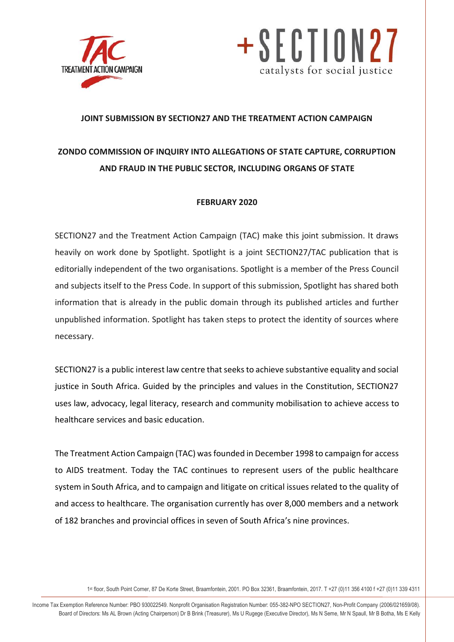



### **JOINT SUBMISSION BY SECTION27 AND THE TREATMENT ACTION CAMPAIGN**

# **ZONDO COMMISSION OF INQUIRY INTO ALLEGATIONS OF STATE CAPTURE, CORRUPTION AND FRAUD IN THE PUBLIC SECTOR, INCLUDING ORGANS OF STATE**

## **FEBRUARY 2020**

SECTION27 and the Treatment Action Campaign (TAC) make this joint submission. It draws heavily on work done by Spotlight. Spotlight is a joint SECTION27/TAC publication that is editorially independent of the two organisations. Spotlight is a member of the Press Council and subjects itself to the Press Code. In support of this submission, Spotlight has shared both information that is already in the public domain through its published articles and further unpublished information. Spotlight has taken steps to protect the identity of sources where necessary.

SECTION27 is a public interest law centre that seeks to achieve substantive equality and social justice in South Africa. Guided by the principles and values in the Constitution, SECTION27 uses law, advocacy, legal literacy, research and community mobilisation to achieve access to healthcare services and basic education.

The Treatment Action Campaign (TAC) was founded in December 1998 to campaign for access to AIDS treatment. Today the TAC continues to represent users of the public healthcare system in South Africa, and to campaign and litigate on critical issues related to the quality of and access to healthcare. The organisation currently has over 8,000 members and a network of 182 branches and provincial offices in seven of South Africa's nine provinces.

1 st floor, South Point Corner, 87 De Korte Street, Braamfontein, 2001. PO Box 32361, Braamfontein, 2017. T +27 (0)11 356 4100 f +27 (0)11 339 4311

info@section27.org.za **www.section27.org.za** Income Tax Exemption Reference Number: PBO 930022549. Nonprofit Organisation Registration Number: 055-382-NPO SECTION27, Non-Profit Company (2006/021659/08). Board of Directors: Ms AL Brown (Acting Chairperson) Dr B Brink (Treasurer), Ms U Rugege (Executive Director), Ms N Seme, Mr N Spaull, Mr B Botha, Ms E Kelly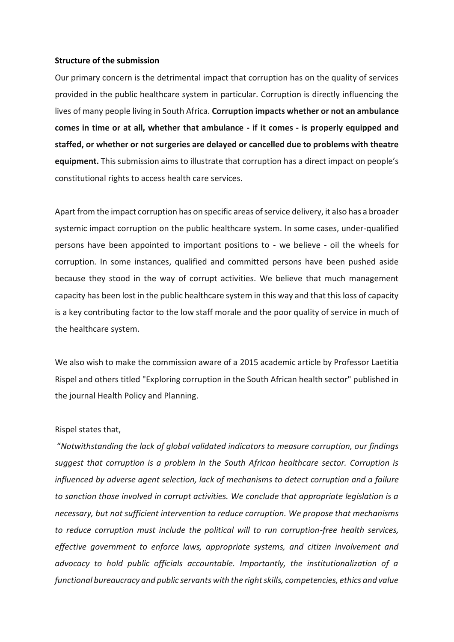#### **Structure of the submission**

Our primary concern is the detrimental impact that corruption has on the quality of services provided in the public healthcare system in particular. Corruption is directly influencing the lives of many people living in South Africa. **Corruption impacts whether or not an ambulance comes in time or at all, whether that ambulance - if it comes - is properly equipped and staffed, or whether or not surgeries are delayed or cancelled due to problems with theatre equipment.** This submission aims to illustrate that corruption has a direct impact on people's constitutional rights to access health care services.

Apart from the impact corruption has on specific areas of service delivery, it also has a broader systemic impact corruption on the public healthcare system. In some cases, under-qualified persons have been appointed to important positions to - we believe - oil the wheels for corruption. In some instances, qualified and committed persons have been pushed aside because they stood in the way of corrupt activities. We believe that much management capacity has been lost in the public healthcare system in this way and that this loss of capacity is a key contributing factor to the low staff morale and the poor quality of service in much of the healthcare system.

We also wish to make the commission aware of a 2015 academic article by Professor Laetitia Rispel and others titled "Exploring corruption in the South African health sector" published in the journal Health Policy and Planning.

#### Rispel states that,

"*Notwithstanding the lack of global validated indicators to measure corruption, our findings suggest that corruption is a problem in the South African healthcare sector. Corruption is influenced by adverse agent selection, lack of mechanisms to detect corruption and a failure to sanction those involved in corrupt activities. We conclude that appropriate legislation is a necessary, but not sufficient intervention to reduce corruption. We propose that mechanisms to reduce corruption must include the political will to run corruption-free health services, effective government to enforce laws, appropriate systems, and citizen involvement and advocacy to hold public officials accountable. Importantly, the institutionalization of a functional bureaucracy and public servants with the right skills, competencies, ethics and value*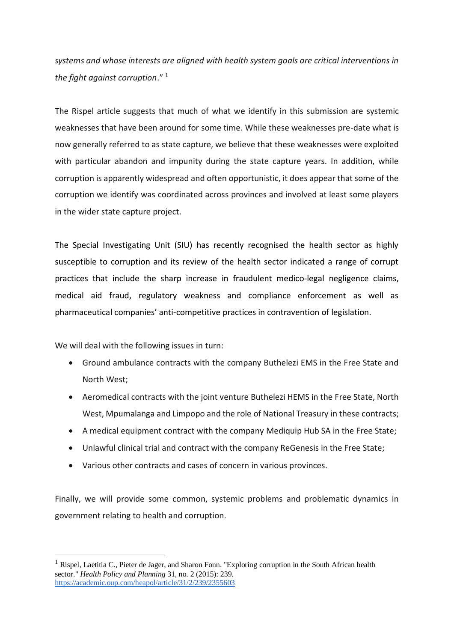*systems and whose interests are aligned with health system goals are critical interventions in the fight against corruption*." <sup>1</sup>

The Rispel article suggests that much of what we identify in this submission are systemic weaknesses that have been around for some time. While these weaknesses pre-date what is now generally referred to as state capture, we believe that these weaknesses were exploited with particular abandon and impunity during the state capture years. In addition, while corruption is apparently widespread and often opportunistic, it does appear that some of the corruption we identify was coordinated across provinces and involved at least some players in the wider state capture project.

The Special Investigating Unit (SIU) has recently recognised the health sector as highly susceptible to corruption and its review of the health sector indicated a range of corrupt practices that include the sharp increase in fraudulent medico-legal negligence claims, medical aid fraud, regulatory weakness and compliance enforcement as well as pharmaceutical companies' anti-competitive practices in contravention of legislation.

We will deal with the following issues in turn:

<u>.</u>

- Ground ambulance contracts with the company Buthelezi EMS in the Free State and North West;
- Aeromedical contracts with the joint venture Buthelezi HEMS in the Free State, North West, Mpumalanga and Limpopo and the role of National Treasury in these contracts;
- A medical equipment contract with the company Mediquip Hub SA in the Free State;
- Unlawful clinical trial and contract with the company ReGenesis in the Free State;
- Various other contracts and cases of concern in various provinces.

Finally, we will provide some common, systemic problems and problematic dynamics in government relating to health and corruption.

<sup>&</sup>lt;sup>1</sup> Rispel, Laetitia C., Pieter de Jager, and Sharon Fonn. "Exploring corruption in the South African health sector." *Health Policy and Planning* 31, no. 2 (2015): 239. <https://academic.oup.com/heapol/article/31/2/239/2355603>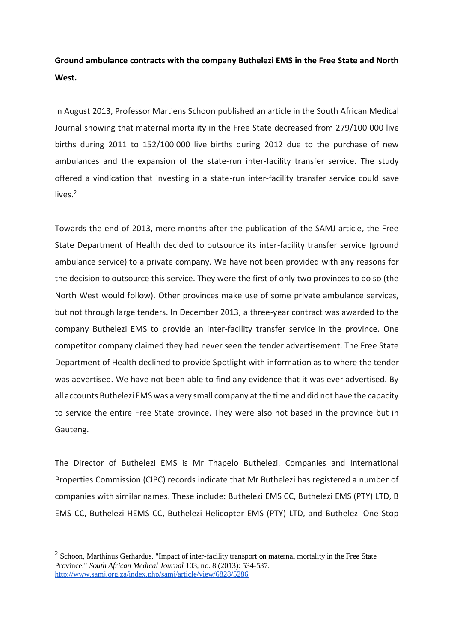## **Ground ambulance contracts with the company Buthelezi EMS in the Free State and North West.**

In August 2013, Professor Martiens Schoon published an article in the South African Medical Journal showing that maternal mortality in the Free State decreased from 279/100 000 live births during 2011 to 152/100 000 live births during 2012 due to the purchase of new ambulances and the expansion of the state-run inter-facility transfer service. The study offered a vindication that investing in a state-run inter-facility transfer service could save lives.<sup>2</sup>

Towards the end of 2013, mere months after the publication of the SAMJ article, the Free State Department of Health decided to outsource its inter-facility transfer service (ground ambulance service) to a private company. We have not been provided with any reasons for the decision to outsource this service. They were the first of only two provinces to do so (the North West would follow). Other provinces make use of some private ambulance services, but not through large tenders. In December 2013, a three-year contract was awarded to the company Buthelezi EMS to provide an inter-facility transfer service in the province. One competitor company claimed they had never seen the tender advertisement. The Free State Department of Health declined to provide Spotlight with information as to where the tender was advertised. We have not been able to find any evidence that it was ever advertised. By all accounts Buthelezi EMS was a very small company at the time and did not have the capacity to service the entire Free State province. They were also not based in the province but in Gauteng.

The Director of Buthelezi EMS is Mr Thapelo Buthelezi. Companies and International Properties Commission (CIPC) records indicate that Mr Buthelezi has registered a number of companies with similar names. These include: Buthelezi EMS CC, Buthelezi EMS (PTY) LTD, B EMS CC, Buthelezi HEMS CC, Buthelezi Helicopter EMS (PTY) LTD, and Buthelezi One Stop

<u>.</u>

 $2$  Schoon, Marthinus Gerhardus. "Impact of inter-facility transport on maternal mortality in the Free State Province." *South African Medical Journal* 103, no. 8 (2013): 534-537. <http://www.samj.org.za/index.php/samj/article/view/6828/5286>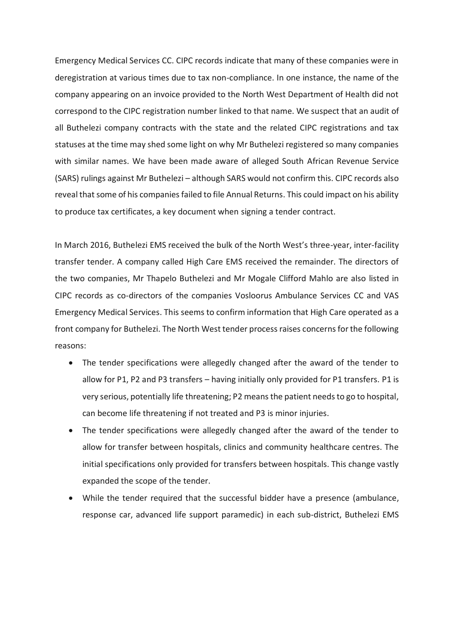Emergency Medical Services CC. CIPC records indicate that many of these companies were in deregistration at various times due to tax non-compliance. In one instance, the name of the company appearing on an invoice provided to the North West Department of Health did not correspond to the CIPC registration number linked to that name. We suspect that an audit of all Buthelezi company contracts with the state and the related CIPC registrations and tax statuses at the time may shed some light on why Mr Buthelezi registered so many companies with similar names. We have been made aware of alleged South African Revenue Service (SARS) rulings against Mr Buthelezi – although SARS would not confirm this. CIPC records also reveal that some of his companies failed to file Annual Returns. This could impact on his ability to produce tax certificates, a key document when signing a tender contract.

In March 2016, Buthelezi EMS received the bulk of the North West's three-year, inter-facility transfer tender. A company called High Care EMS received the remainder. The directors of the two companies, Mr Thapelo Buthelezi and Mr Mogale Clifford Mahlo are also listed in CIPC records as co-directors of the companies Vosloorus Ambulance Services CC and VAS Emergency Medical Services. This seems to confirm information that High Care operated as a front company for Buthelezi. The North West tender process raises concerns for the following reasons:

- The tender specifications were allegedly changed after the award of the tender to allow for P1, P2 and P3 transfers – having initially only provided for P1 transfers. P1 is very serious, potentially life threatening; P2 means the patient needs to go to hospital, can become life threatening if not treated and P3 is minor injuries.
- The tender specifications were allegedly changed after the award of the tender to allow for transfer between hospitals, clinics and community healthcare centres. The initial specifications only provided for transfers between hospitals. This change vastly expanded the scope of the tender.
- While the tender required that the successful bidder have a presence (ambulance, response car, advanced life support paramedic) in each sub-district, Buthelezi EMS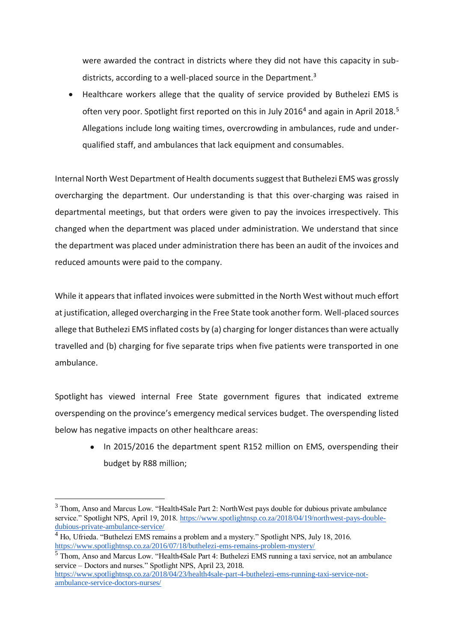were awarded the contract in districts where they did not have this capacity in subdistricts, according to a well-placed source in the Department.<sup>3</sup>

 Healthcare workers allege that the quality of service provided by Buthelezi EMS is often very poor. Spotlight first reported on this in July 2016<sup>4</sup> and again in April 2018.<sup>5</sup> Allegations include long waiting times, overcrowding in ambulances, rude and underqualified staff, and ambulances that lack equipment and consumables.

Internal North West Department of Health documents suggest that Buthelezi EMS was grossly overcharging the department. Our understanding is that this over-charging was raised in departmental meetings, but that orders were given to pay the invoices irrespectively. This changed when the department was placed under administration. We understand that since the department was placed under administration there has been an audit of the invoices and reduced amounts were paid to the company.

While it appears that inflated invoices were submitted in the North West without much effort at justification, alleged overcharging in the Free State took another form. Well-placed sources allege that Buthelezi EMS inflated costs by (a) charging for longer distances than were actually travelled and (b) charging for five separate trips when five patients were transported in one ambulance.

Spotlight has viewed internal Free State government figures that indicated extreme overspending on the province's emergency medical services budget. The overspending listed below has negative impacts on other healthcare areas:

● In 2015/2016 the department spent R152 million on EMS, overspending their budget by R88 million;

<u>.</u>

<sup>&</sup>lt;sup>3</sup> Thom, Anso and Marcus Low. "Health4Sale Part 2: NorthWest pays double for dubious private ambulance service." Spotlight NPS, April 19, 2018. [https://www.spotlightnsp.co.za/2018/04/19/northwest-pays-double](https://www.spotlightnsp.co.za/2018/04/19/northwest-pays-double-dubious-private-ambulance-service/)[dubious-private-ambulance-service/](https://www.spotlightnsp.co.za/2018/04/19/northwest-pays-double-dubious-private-ambulance-service/)

 $<sup>4</sup>$  Ho, Ufrieda. "Buthelezi EMS remains a problem and a mystery." Spotlight NPS, July 18, 2016.</sup> <https://www.spotlightnsp.co.za/2016/07/18/buthelezi-ems-remains-problem-mystery/>

<sup>5</sup> Thom, Anso and Marcus Low. "Health4Sale Part 4: Buthelezi EMS running a taxi service, not an ambulance service – Doctors and nurses." Spotlight NPS, April 23, 2018.

[https://www.spotlightnsp.co.za/2018/04/23/health4sale-part-4-buthelezi-ems-running-taxi-service-not](https://www.spotlightnsp.co.za/2018/04/23/health4sale-part-4-buthelezi-ems-running-taxi-service-not-ambulance-service-doctors-nurses/)[ambulance-service-doctors-nurses/](https://www.spotlightnsp.co.za/2018/04/23/health4sale-part-4-buthelezi-ems-running-taxi-service-not-ambulance-service-doctors-nurses/)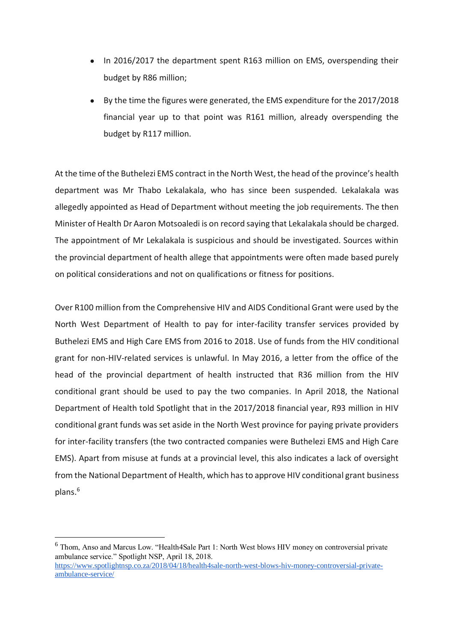- In 2016/2017 the department spent R163 million on EMS, overspending their budget by R86 million;
- By the time the figures were generated, the EMS expenditure for the 2017/2018 financial year up to that point was R161 million, already overspending the budget by R117 million.

At the time of the Buthelezi EMS contract in the North West, the head of the province's health department was Mr Thabo Lekalakala, who has since been suspended. Lekalakala was allegedly appointed as Head of Department without meeting the job requirements. The then Minister of Health Dr Aaron Motsoaledi is on record saying that Lekalakala should be charged. The appointment of Mr Lekalakala is suspicious and should be investigated. Sources within the provincial department of health allege that appointments were often made based purely on political considerations and not on qualifications or fitness for positions.

Over R100 million from the Comprehensive HIV and AIDS Conditional Grant were used by the North West Department of Health to pay for inter-facility transfer services provided by Buthelezi EMS and High Care EMS from 2016 to 2018. Use of funds from the HIV conditional grant for non-HIV-related services is unlawful. In May 2016, a letter from the office of the head of the provincial department of health instructed that R36 million from the HIV conditional grant should be used to pay the two companies. In April 2018, the National Department of Health told Spotlight that in the 2017/2018 financial year, R93 million in HIV conditional grant funds was set aside in the North West province for paying private providers for inter-facility transfers (the two contracted companies were Buthelezi EMS and High Care EMS). Apart from misuse at funds at a provincial level, this also indicates a lack of oversight from the National Department of Health, which has to approve HIV conditional grant business plans.<sup>6</sup>

1

<sup>6</sup> Thom, Anso and Marcus Low. "Health4Sale Part 1: North West blows HIV money on controversial private ambulance service." Spotlight NSP, April 18, 2018. [https://www.spotlightnsp.co.za/2018/04/18/health4sale-north-west-blows-hiv-money-controversial-private](https://www.spotlightnsp.co.za/2018/04/18/health4sale-north-west-blows-hiv-money-controversial-private-ambulance-service/)[ambulance-service/](https://www.spotlightnsp.co.za/2018/04/18/health4sale-north-west-blows-hiv-money-controversial-private-ambulance-service/)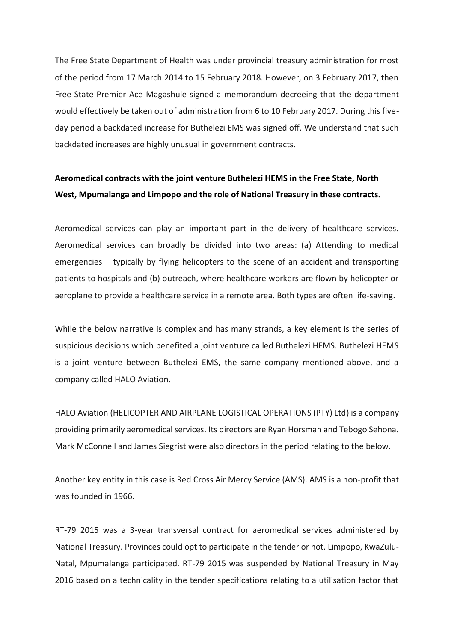The Free State Department of Health was under provincial treasury administration for most of the period from 17 March 2014 to 15 February 2018. However, on 3 February 2017, then Free State Premier Ace Magashule signed a memorandum decreeing that the department would effectively be taken out of administration from 6 to 10 February 2017. During this fiveday period a backdated increase for Buthelezi EMS was signed off. We understand that such backdated increases are highly unusual in government contracts.

## **Aeromedical contracts with the joint venture Buthelezi HEMS in the Free State, North West, Mpumalanga and Limpopo and the role of National Treasury in these contracts.**

Aeromedical services can play an important part in the delivery of healthcare services. Aeromedical services can broadly be divided into two areas: (a) Attending to medical emergencies – typically by flying helicopters to the scene of an accident and transporting patients to hospitals and (b) outreach, where healthcare workers are flown by helicopter or aeroplane to provide a healthcare service in a remote area. Both types are often life-saving.

While the below narrative is complex and has many strands, a key element is the series of suspicious decisions which benefited a joint venture called Buthelezi HEMS. Buthelezi HEMS is a joint venture between Buthelezi EMS, the same company mentioned above, and a company called HALO Aviation.

HALO Aviation (HELICOPTER AND AIRPLANE LOGISTICAL OPERATIONS (PTY) Ltd) is a company providing primarily aeromedical services. Its directors are Ryan Horsman and Tebogo Sehona. Mark McConnell and James Siegrist were also directors in the period relating to the below.

Another key entity in this case is Red Cross Air Mercy Service (AMS). AMS is a non-profit that was founded in 1966.

RT-79 2015 was a 3-year transversal contract for aeromedical services administered by National Treasury. Provinces could opt to participate in the tender or not. Limpopo, KwaZulu-Natal, Mpumalanga participated. RT-79 2015 was suspended by National Treasury in May 2016 based on a technicality in the tender specifications relating to a utilisation factor that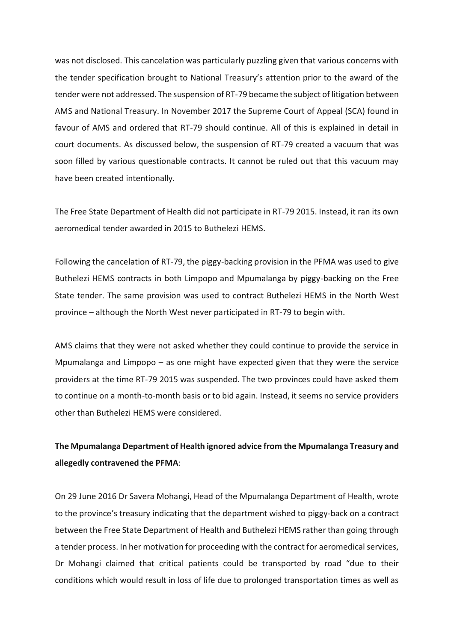was not disclosed. This cancelation was particularly puzzling given that various concerns with the tender specification brought to National Treasury's attention prior to the award of the tender were not addressed. The suspension of RT-79 became the subject of litigation between AMS and National Treasury. In November 2017 the Supreme Court of Appeal (SCA) found in favour of AMS and ordered that RT-79 should continue. All of this is explained in detail in court documents. As discussed below, the suspension of RT-79 created a vacuum that was soon filled by various questionable contracts. It cannot be ruled out that this vacuum may have been created intentionally.

The Free State Department of Health did not participate in RT-79 2015. Instead, it ran its own aeromedical tender awarded in 2015 to Buthelezi HEMS.

Following the cancelation of RT-79, the piggy-backing provision in the PFMA was used to give Buthelezi HEMS contracts in both Limpopo and Mpumalanga by piggy-backing on the Free State tender. The same provision was used to contract Buthelezi HEMS in the North West province – although the North West never participated in RT-79 to begin with.

AMS claims that they were not asked whether they could continue to provide the service in Mpumalanga and Limpopo – as one might have expected given that they were the service providers at the time RT-79 2015 was suspended. The two provinces could have asked them to continue on a month-to-month basis or to bid again. Instead, it seems no service providers other than Buthelezi HEMS were considered.

## **The Mpumalanga Department of Health ignored advice from the Mpumalanga Treasury and allegedly contravened the PFMA**:

On 29 June 2016 Dr Savera Mohangi, Head of the Mpumalanga Department of Health, wrote to the province's treasury indicating that the department wished to piggy-back on a contract between the Free State Department of Health and Buthelezi HEMS rather than going through a tender process. In her motivation for proceeding with the contract for aeromedical services, Dr Mohangi claimed that critical patients could be transported by road "due to their conditions which would result in loss of life due to prolonged transportation times as well as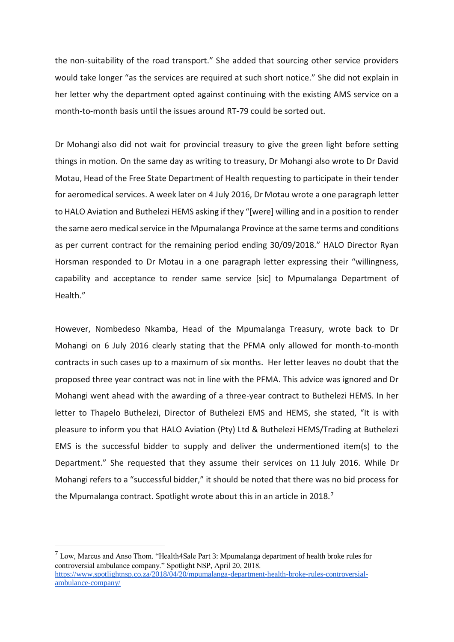the non-suitability of the road transport." She added that sourcing other service providers would take longer "as the services are required at such short notice." She did not explain in her letter why the department opted against continuing with the existing AMS service on a month-to-month basis until the issues around RT-79 could be sorted out.

Dr Mohangi also did not wait for provincial treasury to give the green light before setting things in motion. On the same day as writing to treasury, Dr Mohangi also wrote to Dr David Motau, Head of the Free State Department of Health requesting to participate in their tender for aeromedical services. A week later on 4 July 2016, Dr Motau wrote a one paragraph letter to HALO Aviation and Buthelezi HEMS asking if they "[were] willing and in a position to render the same aero medical service in the Mpumalanga Province at the same terms and conditions as per current contract for the remaining period ending 30/09/2018." HALO Director Ryan Horsman responded to Dr Motau in a one paragraph letter expressing their "willingness, capability and acceptance to render same service [sic] to Mpumalanga Department of Health."

However, Nombedeso Nkamba, Head of the Mpumalanga Treasury, wrote back to Dr Mohangi on 6 July 2016 clearly stating that the PFMA only allowed for month-to-month contracts in such cases up to a maximum of six months. Her letter leaves no doubt that the proposed three year contract was not in line with the PFMA. This advice was ignored and Dr Mohangi went ahead with the awarding of a three-year contract to Buthelezi HEMS. In her letter to Thapelo Buthelezi, Director of Buthelezi EMS and HEMS, she stated, "It is with pleasure to inform you that HALO Aviation (Pty) Ltd & Buthelezi HEMS/Trading at Buthelezi EMS is the successful bidder to supply and deliver the undermentioned item(s) to the Department." She requested that they assume their services on 11 July 2016. While Dr Mohangi refers to a "successful bidder," it should be noted that there was no bid process for the Mpumalanga contract. Spotlight wrote about this in an article in 2018.<sup>7</sup>

<u>.</u>

[ambulance-company/](https://www.spotlightnsp.co.za/2018/04/20/mpumalanga-department-health-broke-rules-controversial-ambulance-company/)

 $<sup>7</sup>$  Low, Marcus and Anso Thom. "Health4Sale Part 3: Mpumalanga department of health broke rules for</sup> controversial ambulance company." Spotlight NSP, April 20, 2018. [https://www.spotlightnsp.co.za/2018/04/20/mpumalanga-department-health-broke-rules-controversial-](https://www.spotlightnsp.co.za/2018/04/20/mpumalanga-department-health-broke-rules-controversial-ambulance-company/)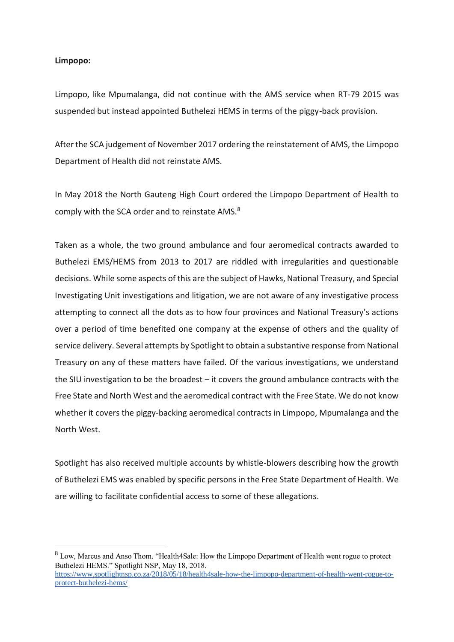### **Limpopo:**

<u>.</u>

Limpopo, like Mpumalanga, did not continue with the AMS service when RT-79 2015 was suspended but instead appointed Buthelezi HEMS in terms of the piggy-back provision.

After the SCA judgement of November 2017 ordering the reinstatement of AMS, the Limpopo Department of Health did not reinstate AMS.

In May 2018 the North Gauteng High Court ordered the Limpopo Department of Health to comply with the SCA order and to reinstate AMS.<sup>8</sup>

Taken as a whole, the two ground ambulance and four aeromedical contracts awarded to Buthelezi EMS/HEMS from 2013 to 2017 are riddled with irregularities and questionable decisions. While some aspects of this are the subject of Hawks, National Treasury, and Special Investigating Unit investigations and litigation, we are not aware of any investigative process attempting to connect all the dots as to how four provinces and National Treasury's actions over a period of time benefited one company at the expense of others and the quality of service delivery. Several attempts by Spotlight to obtain a substantive response from National Treasury on any of these matters have failed. Of the various investigations, we understand the SIU investigation to be the broadest – it covers the ground ambulance contracts with the Free State and North West and the aeromedical contract with the Free State. We do not know whether it covers the piggy-backing aeromedical contracts in Limpopo, Mpumalanga and the North West.

Spotlight has also received multiple accounts by whistle-blowers describing how the growth of Buthelezi EMS was enabled by specific persons in the Free State Department of Health. We are willing to facilitate confidential access to some of these allegations.

<sup>8</sup> Low, Marcus and Anso Thom. "Health4Sale: How the Limpopo Department of Health went rogue to protect Buthelezi HEMS." Spotlight NSP, May 18, 2018.

[https://www.spotlightnsp.co.za/2018/05/18/health4sale-how-the-limpopo-department-of-health-went-rogue-to](https://www.spotlightnsp.co.za/2018/05/18/health4sale-how-the-limpopo-department-of-health-went-rogue-to-protect-buthelezi-hems/)[protect-buthelezi-hems/](https://www.spotlightnsp.co.za/2018/05/18/health4sale-how-the-limpopo-department-of-health-went-rogue-to-protect-buthelezi-hems/)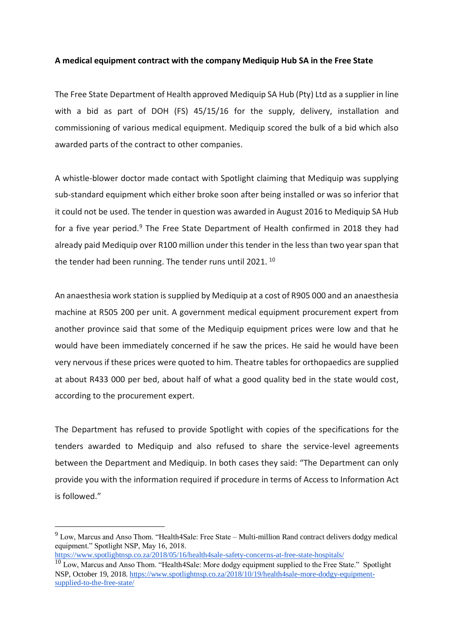### **A medical equipment contract with the company Mediquip Hub SA in the Free State**

The Free State Department of Health approved Mediquip SA Hub (Pty) Ltd as a supplier in line with a bid as part of DOH (FS) 45/15/16 for the supply, delivery, installation and commissioning of various medical equipment. Mediquip scored the bulk of a bid which also awarded parts of the contract to other companies.

A whistle-blower doctor made contact with Spotlight claiming that Mediquip was supplying sub-standard equipment which either broke soon after being installed or was so inferior that it could not be used. The tender in question was awarded in August 2016 to Mediquip SA Hub for a five year period.<sup>9</sup> The Free State Department of Health confirmed in 2018 they had already paid Mediquip over R100 million under this tender in the less than two year span that the tender had been running. The tender runs until 2021.<sup>10</sup>

An anaesthesia work station is supplied by Mediquip at a cost of R905 000 and an anaesthesia machine at R505 200 per unit. A government medical equipment procurement expert from another province said that some of the Mediquip equipment prices were low and that he would have been immediately concerned if he saw the prices. He said he would have been very nervous if these prices were quoted to him. Theatre tables for orthopaedics are supplied at about R433 000 per bed, about half of what a good quality bed in the state would cost, according to the procurement expert.

The Department has refused to provide Spotlight with copies of the specifications for the tenders awarded to Mediquip and also refused to share the service-level agreements between the Department and Mediquip. In both cases they said: "The Department can only provide you with the information required if procedure in terms of Access to Information Act is followed."

<https://www.spotlightnsp.co.za/2018/05/16/health4sale-safety-concerns-at-free-state-hospitals/>

1

<sup>&</sup>lt;sup>9</sup> Low, Marcus and Anso Thom. "Health4Sale: Free State – Multi-million Rand contract delivers dodgy medical equipment." Spotlight NSP, May 16, 2018.

 $10$  Low, Marcus and Anso Thom. "Health4Sale: More dodgy equipment supplied to the Free State." Spotlight NSP, October 19, 2018. [https://www.spotlightnsp.co.za/2018/10/19/health4sale-more-dodgy-equipment](https://www.spotlightnsp.co.za/2018/10/19/health4sale-more-dodgy-equipment-supplied-to-the-free-state/)[supplied-to-the-free-state/](https://www.spotlightnsp.co.za/2018/10/19/health4sale-more-dodgy-equipment-supplied-to-the-free-state/)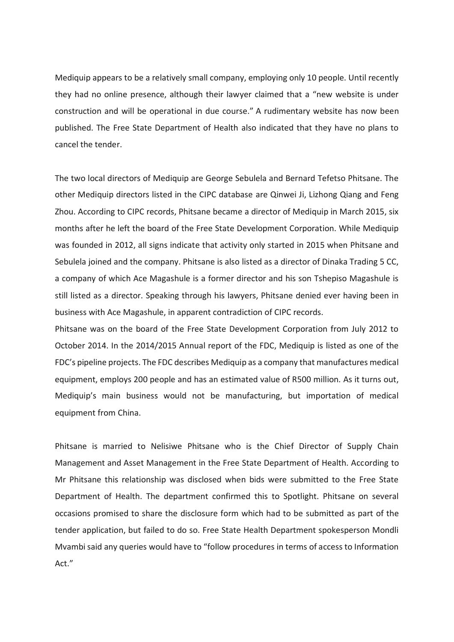Mediquip appears to be a relatively small company, employing only 10 people. Until recently they had no online presence, although their lawyer claimed that a "new website is under construction and will be operational in due course." A rudimentary website has now been published. The Free State Department of Health also indicated that they have no plans to cancel the tender.

The two local directors of Mediquip are George Sebulela and Bernard Tefetso Phitsane. The other Mediquip directors listed in the CIPC database are Qinwei Ji, Lizhong Qiang and Feng Zhou. According to CIPC records, Phitsane became a director of Mediquip in March 2015, six months after he left the board of the Free State Development Corporation. While Mediquip was founded in 2012, all signs indicate that activity only started in 2015 when Phitsane and Sebulela joined and the company. Phitsane is also listed as a director of Dinaka Trading 5 CC, a company of which Ace Magashule is a former director and his son Tshepiso Magashule is still listed as a director. Speaking through his lawyers, Phitsane denied ever having been in business with Ace Magashule, in apparent contradiction of CIPC records.

Phitsane was on the board of the Free State Development Corporation from July 2012 to October 2014. In the 2014/2015 Annual report of the FDC, Mediquip is listed as one of the FDC's pipeline projects. The FDC describes Mediquip as a company that manufactures medical equipment, employs 200 people and has an estimated value of R500 million. As it turns out, Mediquip's main business would not be manufacturing, but importation of medical equipment from China.

Phitsane is married to Nelisiwe Phitsane who is the Chief Director of Supply Chain Management and Asset Management in the Free State Department of Health. According to Mr Phitsane this relationship was disclosed when bids were submitted to the Free State Department of Health. The department confirmed this to Spotlight. Phitsane on several occasions promised to share the disclosure form which had to be submitted as part of the tender application, but failed to do so. Free State Health Department spokesperson Mondli Mvambi said any queries would have to "follow procedures in terms of access to Information Act."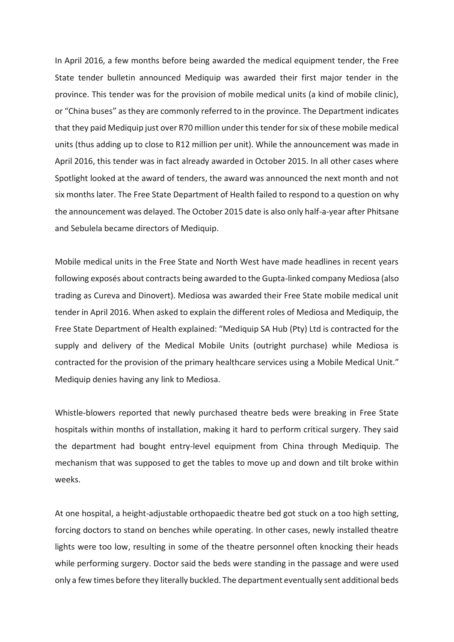In April 2016, a few months before being awarded the medical equipment tender, the Free State tender bulletin announced Mediquip was awarded their first major tender in the province. This tender was for the provision of mobile medical units (a kind of mobile clinic), or "China buses" as they are commonly referred to in the province. The Department indicates that they paid Mediquip just over R70 million under this tender for six of these mobile medical units (thus adding up to close to R12 million per unit). While the announcement was made in April 2016, this tender was in fact already awarded in October 2015. In all other cases where Spotlight looked at the award of tenders, the award was announced the next month and not six months later. The Free State Department of Health failed to respond to a question on why the announcement was delayed. The October 2015 date is also only half-a-year after Phitsane and Sebulela became directors of Mediquip.

Mobile medical units in the Free State and North West have made headlines in recent years following exposés about contracts being awarded to the Gupta-linked company Mediosa (also trading as Cureva and Dinovert). Mediosa was awarded their Free State mobile medical unit tender in April 2016. When asked to explain the different roles of Mediosa and Mediquip, the Free State Department of Health explained: "Mediquip SA Hub (Pty) Ltd is contracted for the supply and delivery of the Medical Mobile Units (outright purchase) while Mediosa is contracted for the provision of the primary healthcare services using a Mobile Medical Unit." Mediquip denies having any link to Mediosa.

Whistle-blowers reported that newly purchased theatre beds were breaking in Free State hospitals within months of installation, making it hard to perform critical surgery. They said the department had bought entry-level equipment from China through Mediquip. The mechanism that was supposed to get the tables to move up and down and tilt broke within weeks.

At one hospital, a height-adjustable orthopaedic theatre bed got stuck on a too high setting, forcing doctors to stand on benches while operating. In other cases, newly installed theatre lights were too low, resulting in some of the theatre personnel often knocking their heads while performing surgery. Doctor said the beds were standing in the passage and were used only a few times before they literally buckled. The department eventually sent additional beds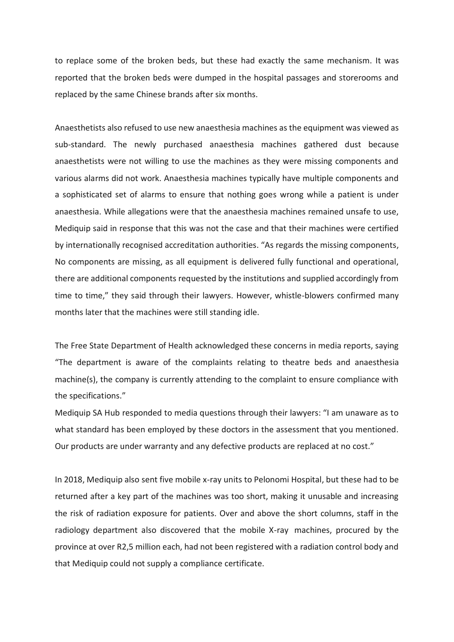to replace some of the broken beds, but these had exactly the same mechanism. It was reported that the broken beds were dumped in the hospital passages and storerooms and replaced by the same Chinese brands after six months.

Anaesthetists also refused to use new anaesthesia machines as the equipment was viewed as sub-standard. The newly purchased anaesthesia machines gathered dust because anaesthetists were not willing to use the machines as they were missing components and various alarms did not work. Anaesthesia machines typically have multiple components and a sophisticated set of alarms to ensure that nothing goes wrong while a patient is under anaesthesia. While allegations were that the anaesthesia machines remained unsafe to use, Mediquip said in response that this was not the case and that their machines were certified by internationally recognised accreditation authorities. "As regards the missing components, No components are missing, as all equipment is delivered fully functional and operational, there are additional components requested by the institutions and supplied accordingly from time to time," they said through their lawyers. However, whistle-blowers confirmed many months later that the machines were still standing idle.

The Free State Department of Health acknowledged these concerns in media reports, saying "The department is aware of the complaints relating to theatre beds and anaesthesia machine(s), the company is currently attending to the complaint to ensure compliance with the specifications."

Mediquip SA Hub responded to media questions through their lawyers: "I am unaware as to what standard has been employed by these doctors in the assessment that you mentioned. Our products are under warranty and any defective products are replaced at no cost."

In 2018, Mediquip also sent five mobile x-ray units to Pelonomi Hospital, but these had to be returned after a key part of the machines was too short, making it unusable and increasing the risk of radiation exposure for patients. Over and above the short columns, staff in the radiology department also discovered that the mobile X-ray machines, procured by the province at over R2,5 million each, had not been registered with a radiation control body and that Mediquip could not supply a compliance certificate.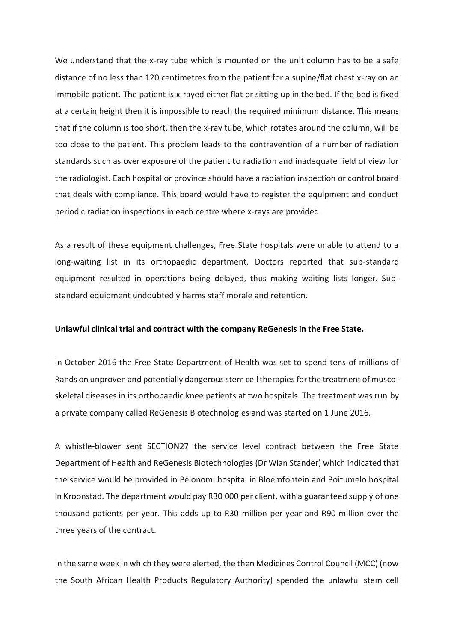We understand that the x-ray tube which is mounted on the unit column has to be a safe distance of no less than 120 centimetres from the patient for a supine/flat chest x-ray on an immobile patient. The patient is x-rayed either flat or sitting up in the bed. If the bed is fixed at a certain height then it is impossible to reach the required minimum distance. This means that if the column is too short, then the x-ray tube, which rotates around the column, will be too close to the patient. This problem leads to the contravention of a number of radiation standards such as over exposure of the patient to radiation and inadequate field of view for the radiologist. Each hospital or province should have a radiation inspection or control board that deals with compliance. This board would have to register the equipment and conduct periodic radiation inspections in each centre where x-rays are provided.

As a result of these equipment challenges, Free State hospitals were unable to attend to a long-waiting list in its orthopaedic department. Doctors reported that sub-standard equipment resulted in operations being delayed, thus making waiting lists longer. Substandard equipment undoubtedly harms staff morale and retention.

#### **Unlawful clinical trial and contract with the company ReGenesis in the Free State.**

In October 2016 the Free State Department of Health was set to spend tens of millions of Rands on unproven and potentially dangerous stem cell therapies for the treatment of muscoskeletal diseases in its orthopaedic knee patients at two hospitals. The treatment was run by a private company called ReGenesis Biotechnologies and was started on 1 June 2016.

A whistle-blower sent SECTION27 the service level contract between the Free State Department of Health and ReGenesis Biotechnologies (Dr Wian Stander) which indicated that the service would be provided in Pelonomi hospital in Bloemfontein and Boitumelo hospital in Kroonstad. The department would pay R30 000 per client, with a guaranteed supply of one thousand patients per year. This adds up to R30-million per year and R90-million over the three years of the contract.

In the same week in which they were alerted, the then Medicines Control Council (MCC) (now the South African Health Products Regulatory Authority) spended the unlawful stem cell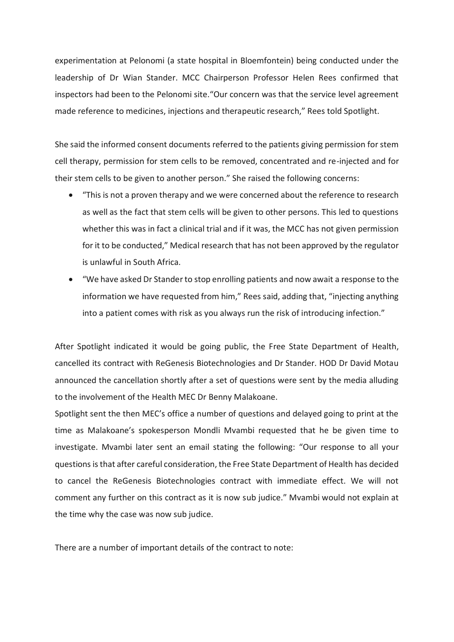experimentation at Pelonomi (a state hospital in Bloemfontein) being conducted under the leadership of Dr Wian Stander. MCC Chairperson Professor Helen Rees confirmed that inspectors had been to the Pelonomi site."Our concern was that the service level agreement made reference to medicines, injections and therapeutic research," Rees told Spotlight.

She said the informed consent documents referred to the patients giving permission for stem cell therapy, permission for stem cells to be removed, concentrated and re-injected and for their stem cells to be given to another person." She raised the following concerns:

- "This is not a proven therapy and we were concerned about the reference to research as well as the fact that stem cells will be given to other persons. This led to questions whether this was in fact a clinical trial and if it was, the MCC has not given permission for it to be conducted," Medical research that has not been approved by the regulator is unlawful in South Africa.
- "We have asked Dr Stander to stop enrolling patients and now await a response to the information we have requested from him," Rees said, adding that, "injecting anything into a patient comes with risk as you always run the risk of introducing infection."

After Spotlight indicated it would be going public, the Free State Department of Health, cancelled its contract with ReGenesis Biotechnologies and Dr Stander. HOD Dr David Motau announced the cancellation shortly after a set of questions were sent by the media alluding to the involvement of the Health MEC Dr Benny Malakoane.

Spotlight sent the then MEC's office a number of questions and delayed going to print at the time as Malakoane's spokesperson Mondli Mvambi requested that he be given time to investigate. Mvambi later sent an email stating the following: "Our response to all your questions is that after careful consideration, the Free State Department of Health has decided to cancel the ReGenesis Biotechnologies contract with immediate effect. We will not comment any further on this contract as it is now sub judice." Mvambi would not explain at the time why the case was now sub judice.

There are a number of important details of the contract to note: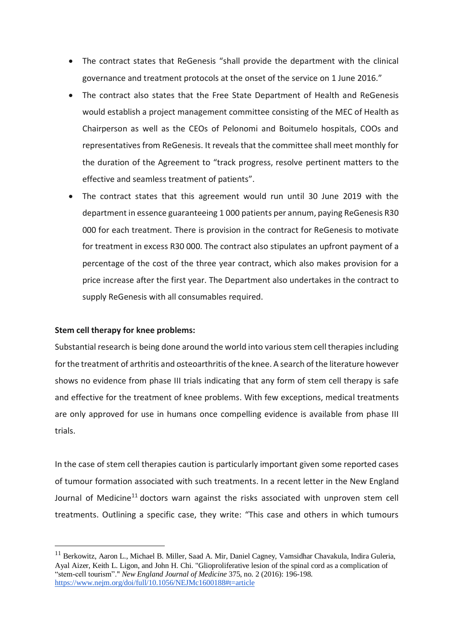- The contract states that ReGenesis "shall provide the department with the clinical governance and treatment protocols at the onset of the service on 1 June 2016."
- The contract also states that the Free State Department of Health and ReGenesis would establish a project management committee consisting of the MEC of Health as Chairperson as well as the CEOs of Pelonomi and Boitumelo hospitals, COOs and representatives from ReGenesis. It reveals that the committee shall meet monthly for the duration of the Agreement to "track progress, resolve pertinent matters to the effective and seamless treatment of patients".
- The contract states that this agreement would run until 30 June 2019 with the department in essence guaranteeing 1 000 patients per annum, paying ReGenesis R30 000 for each treatment. There is provision in the contract for ReGenesis to motivate for treatment in excess R30 000. The contract also stipulates an upfront payment of a percentage of the cost of the three year contract, which also makes provision for a price increase after the first year. The Department also undertakes in the contract to supply ReGenesis with all consumables required.

### **Stem cell therapy for knee problems:**

<u>.</u>

Substantial research is being done around the world into various stem cell therapies including for the treatment of arthritis and osteoarthritis of the knee. A search of the literature however shows no evidence from phase III trials indicating that any form of stem cell therapy is safe and effective for the treatment of knee problems. With few exceptions, medical treatments are only approved for use in humans once compelling evidence is available from phase III trials.

In the case of stem cell therapies caution is particularly important given some reported cases of tumour formation associated with such treatments. In a recent letter in the New England Journal of Medicine<sup>11</sup> doctors warn against the risks associated with unproven stem cell treatments. Outlining a specific case, they write: "This case and others in which tumours

<sup>&</sup>lt;sup>11</sup> Berkowitz, Aaron L., Michael B. Miller, Saad A. Mir, Daniel Cagney, Vamsidhar Chavakula, Indira Guleria, Ayal Aizer, Keith L. Ligon, and John H. Chi. "Glioproliferative lesion of the spinal cord as a complication of "stem-cell tourism"." *New England Journal of Medicine* 375, no. 2 (2016): 196-198. <https://www.nejm.org/doi/full/10.1056/NEJMc1600188#t=article>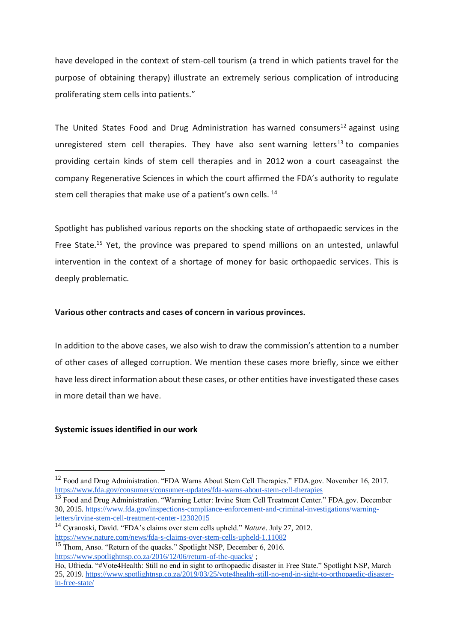have developed in the context of stem-cell tourism (a trend in which patients travel for the purpose of obtaining therapy) illustrate an extremely serious complication of introducing proliferating stem cells into patients."

The United States Food and Drug Administration has warned consumers<sup>12</sup> against using unregistered stem cell therapies. They have also sent warning letters<sup>13</sup> to companies providing certain kinds of stem cell therapies and in 2012 won a court caseagainst the company Regenerative Sciences in which the court affirmed the FDA's authority to regulate stem cell therapies that make use of a patient's own cells.<sup>14</sup>

Spotlight has published various reports on the shocking state of orthopaedic services in the Free State.<sup>15</sup> Yet, the province was prepared to spend millions on an untested, unlawful intervention in the context of a shortage of money for basic orthopaedic services. This is deeply problematic.

### **Various other contracts and cases of concern in various provinces.**

In addition to the above cases, we also wish to draw the commission's attention to a number of other cases of alleged corruption. We mention these cases more briefly, since we either have less direct information about these cases, or other entities have investigated these cases in more detail than we have.

### **Systemic issues identified in our work**

1

<sup>&</sup>lt;sup>12</sup> Food and Drug Administration. "FDA Warns About Stem Cell Therapies." FDA.gov. November 16, 2017. <https://www.fda.gov/consumers/consumer-updates/fda-warns-about-stem-cell-therapies>

<sup>&</sup>lt;sup>13</sup> Food and Drug Administration. "Warning Letter: Irvine Stem Cell Treatment Center." FDA.gov. December 30, 2015. [https://www.fda.gov/inspections-compliance-enforcement-and-criminal-investigations/warning](https://www.fda.gov/inspections-compliance-enforcement-and-criminal-investigations/warning-letters/irvine-stem-cell-treatment-center-12302015)[letters/irvine-stem-cell-treatment-center-12302015](https://www.fda.gov/inspections-compliance-enforcement-and-criminal-investigations/warning-letters/irvine-stem-cell-treatment-center-12302015)

<sup>14</sup> Cyranoski, David. "FDA's claims over stem cells upheld." *Nature*. July 27, 2012. <https://www.nature.com/news/fda-s-claims-over-stem-cells-upheld-1.11082>

<sup>&</sup>lt;sup>15</sup> Thom, Anso. "Return of the quacks." Spotlight NSP, December 6, 2016. <https://www.spotlightnsp.co.za/2016/12/06/return-of-the-quacks/>;

Ho, Ufrieda. "#Vote4Health: Still no end in sight to orthopaedic disaster in Free State." Spotlight NSP, March 25, 2019. [https://www.spotlightnsp.co.za/2019/03/25/vote4health-still-no-end-in-sight-to-orthopaedic-disaster](https://www.spotlightnsp.co.za/2019/03/25/vote4health-still-no-end-in-sight-to-orthopaedic-disaster-in-free-state/)[in-free-state/](https://www.spotlightnsp.co.za/2019/03/25/vote4health-still-no-end-in-sight-to-orthopaedic-disaster-in-free-state/)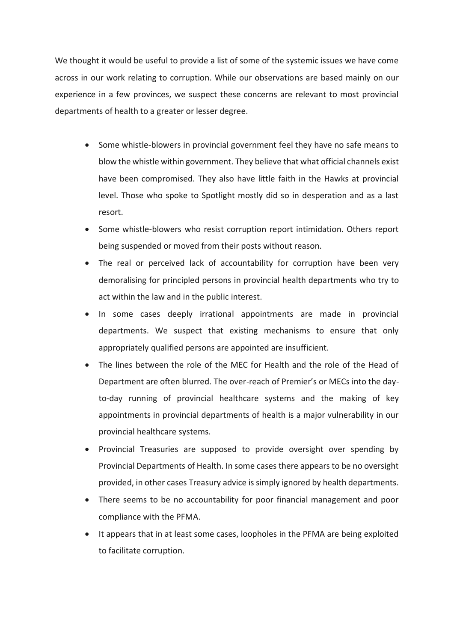We thought it would be useful to provide a list of some of the systemic issues we have come across in our work relating to corruption. While our observations are based mainly on our experience in a few provinces, we suspect these concerns are relevant to most provincial departments of health to a greater or lesser degree.

- Some whistle-blowers in provincial government feel they have no safe means to blow the whistle within government. They believe that what official channels exist have been compromised. They also have little faith in the Hawks at provincial level. Those who spoke to Spotlight mostly did so in desperation and as a last resort.
- Some whistle-blowers who resist corruption report intimidation. Others report being suspended or moved from their posts without reason.
- The real or perceived lack of accountability for corruption have been very demoralising for principled persons in provincial health departments who try to act within the law and in the public interest.
- In some cases deeply irrational appointments are made in provincial departments. We suspect that existing mechanisms to ensure that only appropriately qualified persons are appointed are insufficient.
- The lines between the role of the MEC for Health and the role of the Head of Department are often blurred. The over-reach of Premier's or MECs into the dayto-day running of provincial healthcare systems and the making of key appointments in provincial departments of health is a major vulnerability in our provincial healthcare systems.
- Provincial Treasuries are supposed to provide oversight over spending by Provincial Departments of Health. In some cases there appears to be no oversight provided, in other cases Treasury advice is simply ignored by health departments.
- There seems to be no accountability for poor financial management and poor compliance with the PFMA.
- It appears that in at least some cases, loopholes in the PFMA are being exploited to facilitate corruption.